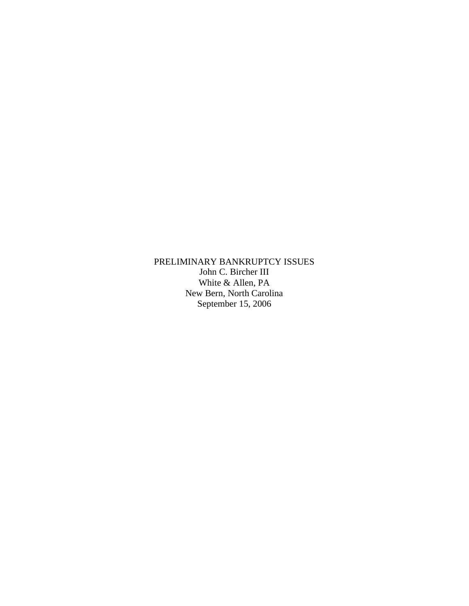PRELIMINARY BANKRUPTCY ISSUES John C. Bircher III White & Allen, PA New Bern, North Carolina September 15, 2006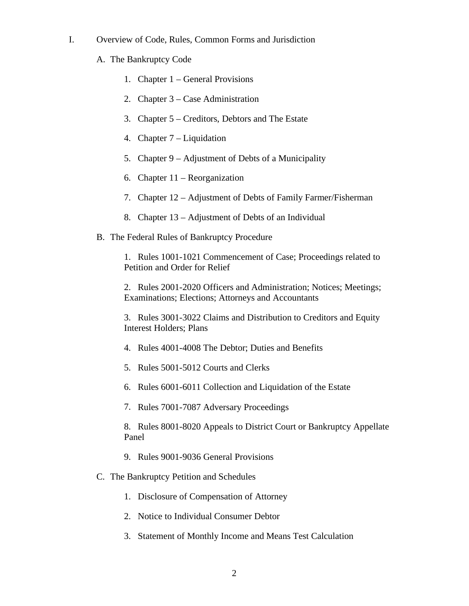- I. Overview of Code, Rules, Common Forms and Jurisdiction
	- A. The Bankruptcy Code
		- 1. Chapter 1 General Provisions
		- 2. Chapter 3 Case Administration
		- 3. Chapter 5 Creditors, Debtors and The Estate
		- 4. Chapter 7 Liquidation
		- 5. Chapter 9 Adjustment of Debts of a Municipality
		- 6. Chapter 11 Reorganization
		- 7. Chapter 12 Adjustment of Debts of Family Farmer/Fisherman
		- 8. Chapter 13 Adjustment of Debts of an Individual
	- B. The Federal Rules of Bankruptcy Procedure

1. Rules 1001-1021 Commencement of Case; Proceedings related to Petition and Order for Relief

2. Rules 2001-2020 Officers and Administration; Notices; Meetings; Examinations; Elections; Attorneys and Accountants

3. Rules 3001-3022 Claims and Distribution to Creditors and Equity Interest Holders; Plans

- 4. Rules 4001-4008 The Debtor; Duties and Benefits
- 5. Rules 5001-5012 Courts and Clerks
- 6. Rules 6001-6011 Collection and Liquidation of the Estate
- 7. Rules 7001-7087 Adversary Proceedings

8. Rules 8001-8020 Appeals to District Court or Bankruptcy Appellate Panel

- 9. Rules 9001-9036 General Provisions
- C. The Bankruptcy Petition and Schedules
	- 1. Disclosure of Compensation of Attorney
	- 2. Notice to Individual Consumer Debtor
	- 3. Statement of Monthly Income and Means Test Calculation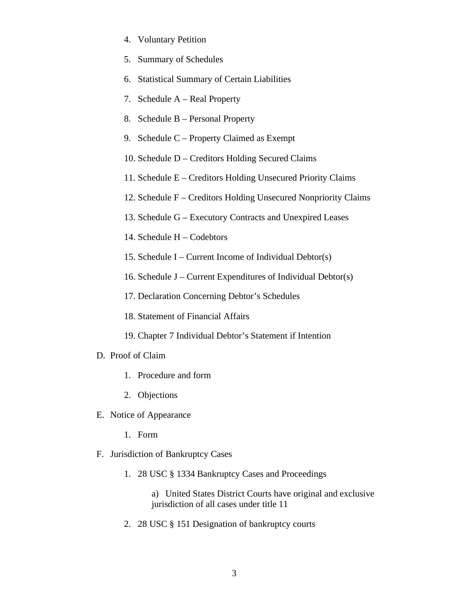- 4. Voluntary Petition
- 5. Summary of Schedules
- 6. Statistical Summary of Certain Liabilities
- 7. Schedule A Real Property
- 8. Schedule B Personal Property
- 9. Schedule C Property Claimed as Exempt
- 10. Schedule D Creditors Holding Secured Claims
- 11. Schedule E Creditors Holding Unsecured Priority Claims
- 12. Schedule F Creditors Holding Unsecured Nonpriority Claims
- 13. Schedule G Executory Contracts and Unexpired Leases
- 14. Schedule H Codebtors
- 15. Schedule I Current Income of Individual Debtor(s)
- 16. Schedule J Current Expenditures of Individual Debtor(s)
- 17. Declaration Concerning Debtor's Schedules
- 18. Statement of Financial Affairs
- 19. Chapter 7 Individual Debtor's Statement if Intention
- D. Proof of Claim
	- 1. Procedure and form
	- 2. Objections
- E. Notice of Appearance
	- 1. Form
- F. Jurisdiction of Bankruptcy Cases
	- 1. 28 USC § 1334 Bankruptcy Cases and Proceedings
		- a) United States District Courts have original and exclusive jurisdiction of all cases under title 11
	- 2. 28 USC § 151 Designation of bankruptcy courts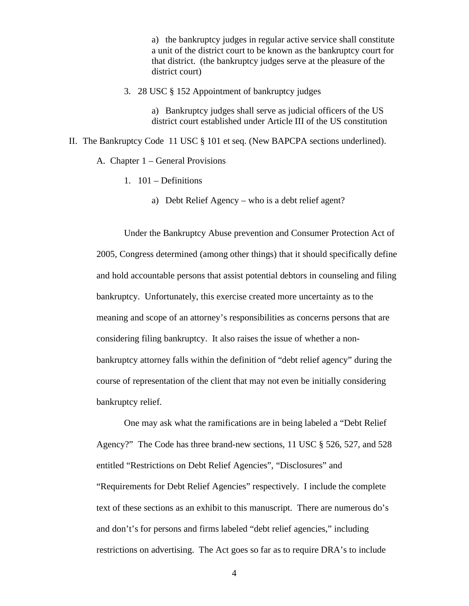a) the bankruptcy judges in regular active service shall constitute a unit of the district court to be known as the bankruptcy court for that district. (the bankruptcy judges serve at the pleasure of the district court)

3. 28 USC § 152 Appointment of bankruptcy judges

a) Bankruptcy judges shall serve as judicial officers of the US district court established under Article III of the US constitution

- II. The Bankruptcy Code 11 USC § 101 et seq. (New BAPCPA sections underlined).
	- A. Chapter 1 General Provisions
		- 1. 101 Definitions
			- a) Debt Relief Agency who is a debt relief agent?

Under the Bankruptcy Abuse prevention and Consumer Protection Act of 2005, Congress determined (among other things) that it should specifically define and hold accountable persons that assist potential debtors in counseling and filing bankruptcy. Unfortunately, this exercise created more uncertainty as to the meaning and scope of an attorney's responsibilities as concerns persons that are considering filing bankruptcy. It also raises the issue of whether a nonbankruptcy attorney falls within the definition of "debt relief agency" during the course of representation of the client that may not even be initially considering bankruptcy relief.

One may ask what the ramifications are in being labeled a "Debt Relief Agency?" The Code has three brand-new sections, 11 USC § 526, 527, and 528 entitled "Restrictions on Debt Relief Agencies", "Disclosures" and "Requirements for Debt Relief Agencies" respectively. I include the complete text of these sections as an exhibit to this manuscript. There are numerous do's and don't's for persons and firms labeled "debt relief agencies," including restrictions on advertising. The Act goes so far as to require DRA's to include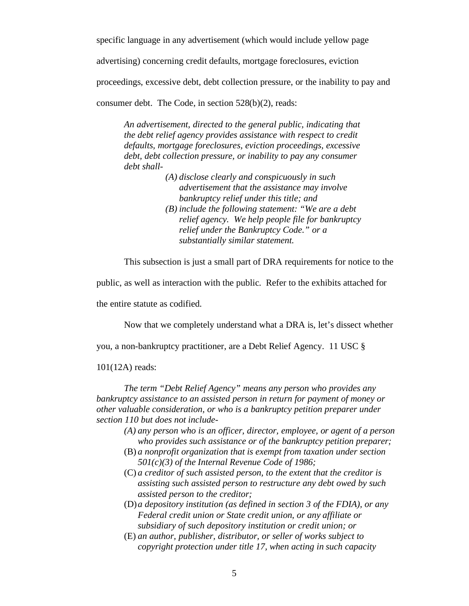specific language in any advertisement (which would include yellow page

advertising) concerning credit defaults, mortgage foreclosures, eviction

proceedings, excessive debt, debt collection pressure, or the inability to pay and

consumer debt. The Code, in section 528(b)(2), reads:

*An advertisement, directed to the general public, indicating that the debt relief agency provides assistance with respect to credit defaults, mortgage foreclosures, eviction proceedings, excessive debt, debt collection pressure, or inability to pay any consumer debt shall-* 

- *(A) disclose clearly and conspicuously in such advertisement that the assistance may involve bankruptcy relief under this title; and (B) include the following statement: "We are a debt* 
	- *relief agency. We help people file for bankruptcy relief under the Bankruptcy Code." or a substantially similar statement.*

This subsection is just a small part of DRA requirements for notice to the

public, as well as interaction with the public. Refer to the exhibits attached for

the entire statute as codified.

Now that we completely understand what a DRA is, let's dissect whether

you, a non-bankruptcy practitioner, are a Debt Relief Agency. 11 USC §

101(12A) reads:

*The term "Debt Relief Agency" means any person who provides any bankruptcy assistance to an assisted person in return for payment of money or other valuable consideration, or who is a bankruptcy petition preparer under section 110 but does not include-* 

- *(A) any person who is an officer, director, employee, or agent of a person who provides such assistance or of the bankruptcy petition preparer;*
- (B) *a nonprofit organization that is exempt from taxation under section 501(c)(3) of the Internal Revenue Code of 1986;*
- (C) *a creditor of such assisted person, to the extent that the creditor is assisting such assisted person to restructure any debt owed by such assisted person to the creditor;*
- (D)*a depository institution (as defined in section 3 of the FDIA), or any Federal credit union or State credit union, or any affiliate or subsidiary of such depository institution or credit union; or*
- (E) *an author, publisher, distributor, or seller of works subject to copyright protection under title 17, when acting in such capacity*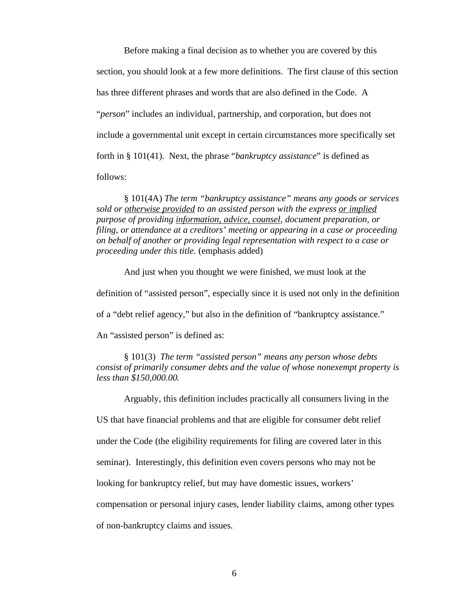Before making a final decision as to whether you are covered by this section, you should look at a few more definitions. The first clause of this section has three different phrases and words that are also defined in the Code. A "*person*" includes an individual, partnership, and corporation, but does not include a governmental unit except in certain circumstances more specifically set forth in § 101(41). Next, the phrase "*bankruptcy assistance*" is defined as follows:

§ 101(4A) *The term "bankruptcy assistance" means any goods or services sold or otherwise provided to an assisted person with the express or implied purpose of providing information, advice, counsel, document preparation, or filing, or attendance at a creditors' meeting or appearing in a case or proceeding on behalf of another or providing legal representation with respect to a case or proceeding under this title.* (emphasis added)

And just when you thought we were finished, we must look at the definition of "assisted person", especially since it is used not only in the definition of a "debt relief agency," but also in the definition of "bankruptcy assistance." An "assisted person" is defined as:

§ 101(3) *The term "assisted person" means any person whose debts consist of primarily consumer debts and the value of whose nonexempt property is less than \$150,000.00.*

Arguably, this definition includes practically all consumers living in the

US that have financial problems and that are eligible for consumer debt relief

under the Code (the eligibility requirements for filing are covered later in this

seminar). Interestingly, this definition even covers persons who may not be

looking for bankruptcy relief, but may have domestic issues, workers'

compensation or personal injury cases, lender liability claims, among other types

of non-bankruptcy claims and issues.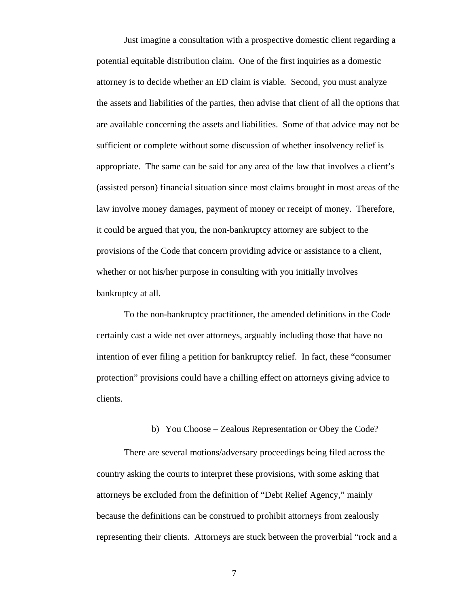Just imagine a consultation with a prospective domestic client regarding a potential equitable distribution claim. One of the first inquiries as a domestic attorney is to decide whether an ED claim is viable. Second, you must analyze the assets and liabilities of the parties, then advise that client of all the options that are available concerning the assets and liabilities. Some of that advice may not be sufficient or complete without some discussion of whether insolvency relief is appropriate. The same can be said for any area of the law that involves a client's (assisted person) financial situation since most claims brought in most areas of the law involve money damages, payment of money or receipt of money. Therefore, it could be argued that you, the non-bankruptcy attorney are subject to the provisions of the Code that concern providing advice or assistance to a client, whether or not his/her purpose in consulting with you initially involves bankruptcy at all.

To the non-bankruptcy practitioner, the amended definitions in the Code certainly cast a wide net over attorneys, arguably including those that have no intention of ever filing a petition for bankruptcy relief. In fact, these "consumer protection" provisions could have a chilling effect on attorneys giving advice to clients.

## b) You Choose – Zealous Representation or Obey the Code?

There are several motions/adversary proceedings being filed across the country asking the courts to interpret these provisions, with some asking that attorneys be excluded from the definition of "Debt Relief Agency," mainly because the definitions can be construed to prohibit attorneys from zealously representing their clients. Attorneys are stuck between the proverbial "rock and a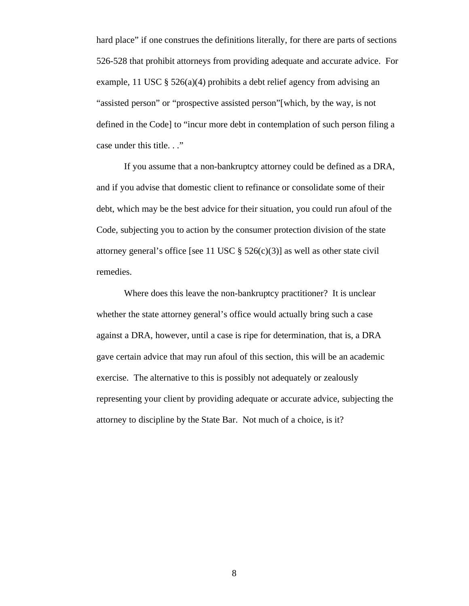hard place" if one construes the definitions literally, for there are parts of sections 526-528 that prohibit attorneys from providing adequate and accurate advice. For example, 11 USC § 526(a)(4) prohibits a debt relief agency from advising an "assisted person" or "prospective assisted person"[which, by the way, is not defined in the Code] to "incur more debt in contemplation of such person filing a case under this title..."

 If you assume that a non-bankruptcy attorney could be defined as a DRA, and if you advise that domestic client to refinance or consolidate some of their debt, which may be the best advice for their situation, you could run afoul of the Code, subjecting you to action by the consumer protection division of the state attorney general's office [see 11 USC  $\S$  526(c)(3)] as well as other state civil remedies.

Where does this leave the non-bankruptcy practitioner? It is unclear whether the state attorney general's office would actually bring such a case against a DRA, however, until a case is ripe for determination, that is, a DRA gave certain advice that may run afoul of this section, this will be an academic exercise. The alternative to this is possibly not adequately or zealously representing your client by providing adequate or accurate advice, subjecting the attorney to discipline by the State Bar. Not much of a choice, is it?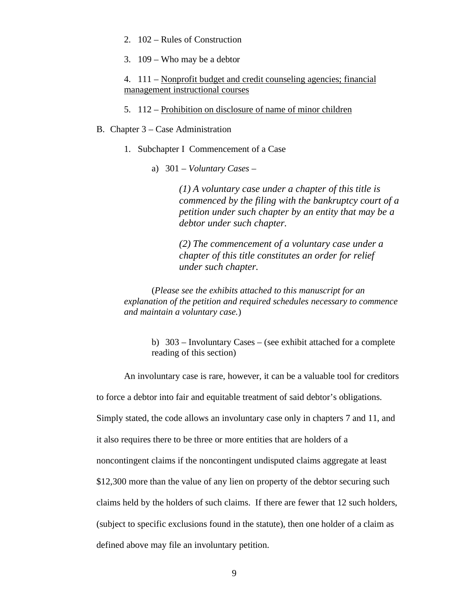- 2. 102 Rules of Construction
- 3. 109 Who may be a debtor

4. 111 – Nonprofit budget and credit counseling agencies; financial management instructional courses

- 5. 112 Prohibition on disclosure of name of minor children
- B. Chapter 3 Case Administration
	- 1. Subchapter I Commencement of a Case
		- a) 301 *Voluntary Cases* –

*(1) A voluntary case under a chapter of this title is commenced by the filing with the bankruptcy court of a petition under such chapter by an entity that may be a debtor under such chapter.* 

*(2) The commencement of a voluntary case under a chapter of this title constitutes an order for relief under such chapter.* 

(*Please see the exhibits attached to this manuscript for an explanation of the petition and required schedules necessary to commence and maintain a voluntary case.*)

> b) 303 – Involuntary Cases – (see exhibit attached for a complete reading of this section)

An involuntary case is rare, however, it can be a valuable tool for creditors

to force a debtor into fair and equitable treatment of said debtor's obligations.

Simply stated, the code allows an involuntary case only in chapters 7 and 11, and

it also requires there to be three or more entities that are holders of a

noncontingent claims if the noncontingent undisputed claims aggregate at least

\$12,300 more than the value of any lien on property of the debtor securing such

claims held by the holders of such claims. If there are fewer that 12 such holders,

(subject to specific exclusions found in the statute), then one holder of a claim as

defined above may file an involuntary petition.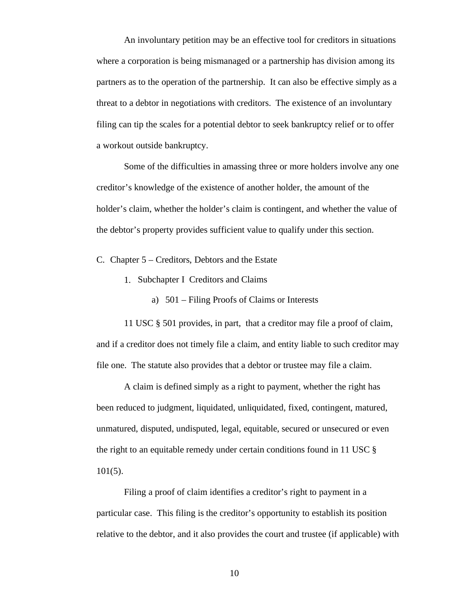An involuntary petition may be an effective tool for creditors in situations where a corporation is being mismanaged or a partnership has division among its partners as to the operation of the partnership. It can also be effective simply as a threat to a debtor in negotiations with creditors. The existence of an involuntary filing can tip the scales for a potential debtor to seek bankruptcy relief or to offer a workout outside bankruptcy.

Some of the difficulties in amassing three or more holders involve any one creditor's knowledge of the existence of another holder, the amount of the holder's claim, whether the holder's claim is contingent, and whether the value of the debtor's property provides sufficient value to qualify under this section.

C. Chapter 5 – Creditors, Debtors and the Estate

- 1. Subchapter I Creditors and Claims
	- a) 501 Filing Proofs of Claims or Interests

11 USC § 501 provides, in part, that a creditor may file a proof of claim, and if a creditor does not timely file a claim, and entity liable to such creditor may file one. The statute also provides that a debtor or trustee may file a claim.

A claim is defined simply as a right to payment, whether the right has been reduced to judgment, liquidated, unliquidated, fixed, contingent, matured, unmatured, disputed, undisputed, legal, equitable, secured or unsecured or even the right to an equitable remedy under certain conditions found in 11 USC § 101(5).

Filing a proof of claim identifies a creditor's right to payment in a particular case. This filing is the creditor's opportunity to establish its position relative to the debtor, and it also provides the court and trustee (if applicable) with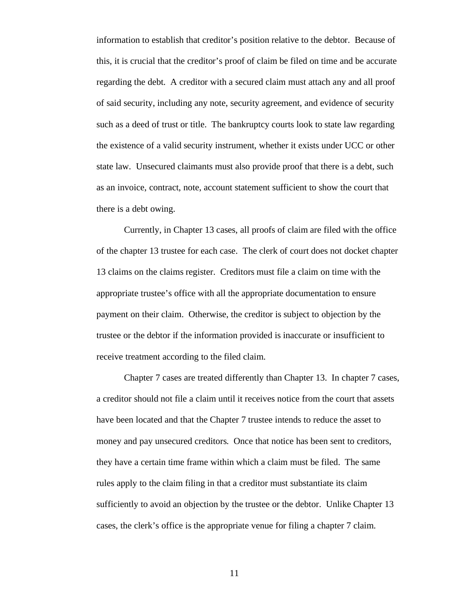information to establish that creditor's position relative to the debtor. Because of this, it is crucial that the creditor's proof of claim be filed on time and be accurate regarding the debt. A creditor with a secured claim must attach any and all proof of said security, including any note, security agreement, and evidence of security such as a deed of trust or title. The bankruptcy courts look to state law regarding the existence of a valid security instrument, whether it exists under UCC or other state law. Unsecured claimants must also provide proof that there is a debt, such as an invoice, contract, note, account statement sufficient to show the court that there is a debt owing.

Currently, in Chapter 13 cases, all proofs of claim are filed with the office of the chapter 13 trustee for each case. The clerk of court does not docket chapter 13 claims on the claims register. Creditors must file a claim on time with the appropriate trustee's office with all the appropriate documentation to ensure payment on their claim. Otherwise, the creditor is subject to objection by the trustee or the debtor if the information provided is inaccurate or insufficient to receive treatment according to the filed claim.

Chapter 7 cases are treated differently than Chapter 13. In chapter 7 cases, a creditor should not file a claim until it receives notice from the court that assets have been located and that the Chapter 7 trustee intends to reduce the asset to money and pay unsecured creditors. Once that notice has been sent to creditors, they have a certain time frame within which a claim must be filed. The same rules apply to the claim filing in that a creditor must substantiate its claim sufficiently to avoid an objection by the trustee or the debtor. Unlike Chapter 13 cases, the clerk's office is the appropriate venue for filing a chapter 7 claim.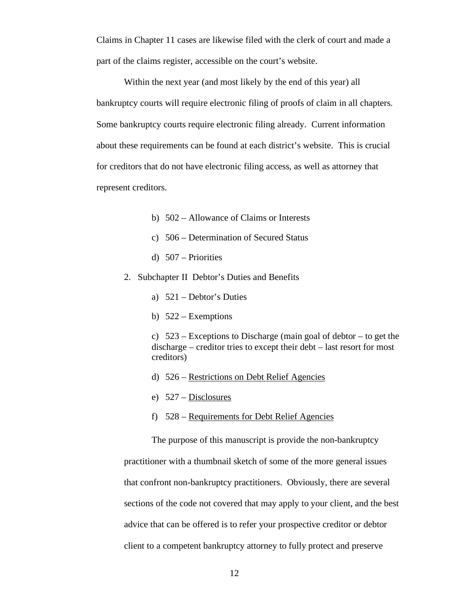Claims in Chapter 11 cases are likewise filed with the clerk of court and made a part of the claims register, accessible on the court's website.

Within the next year (and most likely by the end of this year) all bankruptcy courts will require electronic filing of proofs of claim in all chapters. Some bankruptcy courts require electronic filing already. Current information about these requirements can be found at each district's website. This is crucial for creditors that do not have electronic filing access, as well as attorney that represent creditors.

- b) 502 Allowance of Claims or Interests
- c) 506 Determination of Secured Status
- d) 507 Priorities
- 2. Subchapter II Debtor's Duties and Benefits
	- a) 521 Debtor's Duties
	- b) 522 Exemptions

c)  $523$  – Exceptions to Discharge (main goal of debtor – to get the discharge – creditor tries to except their debt – last resort for most creditors)

- d) 526 Restrictions on Debt Relief Agencies
- e) 527 Disclosures
- f) 528 Requirements for Debt Relief Agencies

The purpose of this manuscript is provide the non-bankruptcy practitioner with a thumbnail sketch of some of the more general issues that confront non-bankruptcy practitioners. Obviously, there are several sections of the code not covered that may apply to your client, and the best advice that can be offered is to refer your prospective creditor or debtor client to a competent bankruptcy attorney to fully protect and preserve